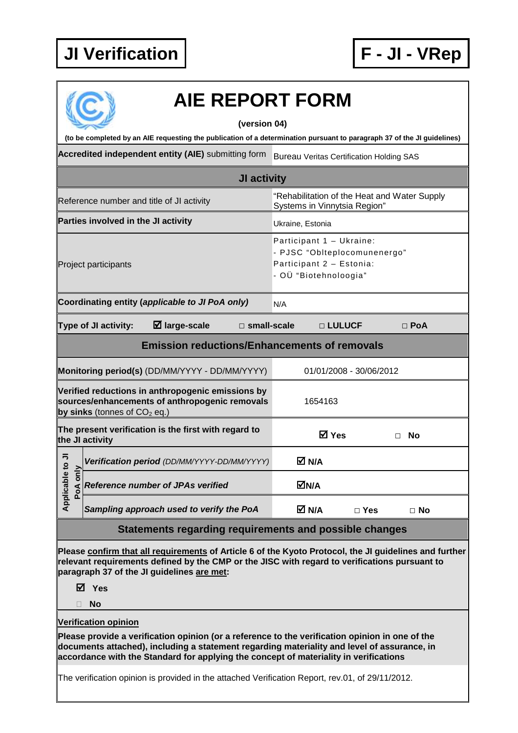

|                             |                                     | <b>AIE REPORT FORM</b>                                                                                                                                                                                                                                                                  |                       |                                                                                                               |              |                         |      |            |
|-----------------------------|-------------------------------------|-----------------------------------------------------------------------------------------------------------------------------------------------------------------------------------------------------------------------------------------------------------------------------------------|-----------------------|---------------------------------------------------------------------------------------------------------------|--------------|-------------------------|------|------------|
|                             |                                     |                                                                                                                                                                                                                                                                                         |                       |                                                                                                               |              |                         |      |            |
|                             |                                     | (to be completed by an AIE requesting the publication of a determination pursuant to paragraph 37 of the JI guidelines)                                                                                                                                                                 | (version 04)          |                                                                                                               |              |                         |      |            |
|                             |                                     | Accredited independent entity (AIE) submitting form                                                                                                                                                                                                                                     |                       |                                                                                                               |              |                         |      |            |
|                             |                                     |                                                                                                                                                                                                                                                                                         |                       | <b>Bureau Veritas Certification Holding SAS</b>                                                               |              |                         |      |            |
|                             |                                     |                                                                                                                                                                                                                                                                                         | JI activity           |                                                                                                               |              |                         |      |            |
|                             |                                     | Reference number and title of JI activity                                                                                                                                                                                                                                               |                       | "Rehabilitation of the Heat and Water Supply<br>Systems in Vinnytsia Region"                                  |              |                         |      |            |
|                             | Parties involved in the JI activity |                                                                                                                                                                                                                                                                                         |                       | Ukraine, Estonia                                                                                              |              |                         |      |            |
|                             | Project participants                |                                                                                                                                                                                                                                                                                         |                       | Participant 1 - Ukraine:<br>- PJSC "Oblteplocomunenergo"<br>Participant 2 - Estonia:<br>- OÜ "Biotehnoloogia" |              |                         |      |            |
|                             |                                     | Coordinating entity (applicable to JI PoA only)                                                                                                                                                                                                                                         |                       | N/A                                                                                                           |              |                         |      |            |
|                             | Type of JI activity:                | $\boxtimes$ large-scale                                                                                                                                                                                                                                                                 | $\square$ small-scale |                                                                                                               | □ LULUCF     |                         |      | $\Box$ PoA |
|                             |                                     | <b>Emission reductions/Enhancements of removals</b>                                                                                                                                                                                                                                     |                       |                                                                                                               |              |                         |      |            |
|                             |                                     |                                                                                                                                                                                                                                                                                         |                       |                                                                                                               |              |                         |      |            |
|                             |                                     | Monitoring period(s) (DD/MM/YYYY - DD/MM/YYYY)                                                                                                                                                                                                                                          |                       |                                                                                                               |              | 01/01/2008 - 30/06/2012 |      |            |
|                             | by sinks (tonnes of $CO2$ eq.)      | Verified reductions in anthropogenic emissions by<br>sources/enhancements of anthropogenic removals                                                                                                                                                                                     |                       |                                                                                                               | 1654163      |                         |      |            |
|                             | the JI activity                     | The present verification is the first with regard to                                                                                                                                                                                                                                    |                       |                                                                                                               | <b>⊠</b> Yes |                         | . No |            |
| ₹<br>$\circ$                |                                     | Verification period (DD/MM/YYYY-DD/MM/YYYY)                                                                                                                                                                                                                                             |                       | M N/A                                                                                                         |              |                         |      |            |
| Applicable t<br>only<br>PoA |                                     | <b>Reference number of JPAs verified</b>                                                                                                                                                                                                                                                |                       | <b>⊠N/A</b>                                                                                                   |              |                         |      |            |
|                             |                                     | Sampling approach used to verify the PoA                                                                                                                                                                                                                                                |                       | M N/A                                                                                                         |              | $\Box$ Yes              |      | $\Box$ No  |
|                             |                                     | Statements regarding requirements and possible changes                                                                                                                                                                                                                                  |                       |                                                                                                               |              |                         |      |            |
|                             | M Yes                               | Please confirm that all requirements of Article 6 of the Kyoto Protocol, the JI guidelines and further<br>relevant requirements defined by the CMP or the JISC with regard to verifications pursuant to<br>paragraph 37 of the JI guidelines are met:                                   |                       |                                                                                                               |              |                         |      |            |
|                             | No                                  |                                                                                                                                                                                                                                                                                         |                       |                                                                                                               |              |                         |      |            |
|                             | <b>Verification opinion</b>         | Please provide a verification opinion (or a reference to the verification opinion in one of the<br>documents attached), including a statement regarding materiality and level of assurance, in<br>accordance with the Standard for applying the concept of materiality in verifications |                       |                                                                                                               |              |                         |      |            |
|                             |                                     | The verification opinion is provided in the attached Verification Report, rev.01, of 29/11/2012.                                                                                                                                                                                        |                       |                                                                                                               |              |                         |      |            |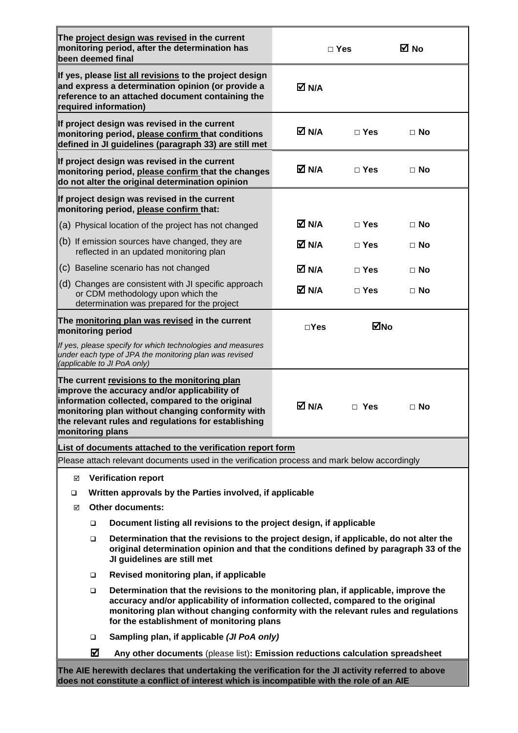| The project design was revised in the current<br>monitoring period, after the determination has<br>been deemed final                                                                                                                                                                                             |               | $\Box$ Yes   | M No      |
|------------------------------------------------------------------------------------------------------------------------------------------------------------------------------------------------------------------------------------------------------------------------------------------------------------------|---------------|--------------|-----------|
| If yes, please list all revisions to the project design<br>and express a determination opinion (or provide a<br>reference to an attached document containing the<br>required information)                                                                                                                        | M N/A         |              |           |
| If project design was revised in the current<br>monitoring period, please confirm that conditions<br>defined in JI guidelines (paragraph 33) are still met                                                                                                                                                       | M N/A         | $\sqcap$ Yes | $\Box$ No |
| If project design was revised in the current<br>monitoring period, please confirm that the changes<br>do not alter the original determination opinion                                                                                                                                                            | <b>Ø</b> N/A  | $\Box$ Yes   | $\Box$ No |
| If project design was revised in the current<br>monitoring period, please confirm that:                                                                                                                                                                                                                          |               |              |           |
| (a) Physical location of the project has not changed                                                                                                                                                                                                                                                             | M N/A         | $\Box$ Yes   | $\Box$ No |
| (b) If emission sources have changed, they are<br>reflected in an updated monitoring plan                                                                                                                                                                                                                        | M N/A         | $\Box$ Yes   | $\Box$ No |
| (c) Baseline scenario has not changed                                                                                                                                                                                                                                                                            | M N/A         | $\Box$ Yes   | $\Box$ No |
| (d) Changes are consistent with JI specific approach<br>or CDM methodology upon which the<br>determination was prepared for the project                                                                                                                                                                          | M N/A         | $\Box$ Yes   | $\Box$ No |
| The monitoring plan was revised in the current<br>monitoring period                                                                                                                                                                                                                                              | $\square$ Yes | ⊠No          |           |
| If yes, please specify for which technologies and measures<br>under each type of JPA the monitoring plan was revised<br>(applicable to JI PoA only)                                                                                                                                                              |               |              |           |
| The current revisions to the monitoring plan<br>improve the accuracy and/or applicability of<br>information collected, compared to the original<br>monitoring plan without changing conformity with<br>the relevant rules and regulations for establishing<br>monitoring plans                                   | M N/A         | $\Box$ Yes   | $\Box$ No |
| List of documents attached to the verification report form                                                                                                                                                                                                                                                       |               |              |           |
| Please attach relevant documents used in the verification process and mark below accordingly                                                                                                                                                                                                                     |               |              |           |
| <b>Verification report</b><br>☑                                                                                                                                                                                                                                                                                  |               |              |           |
| Written approvals by the Parties involved, if applicable<br>◻                                                                                                                                                                                                                                                    |               |              |           |
| <b>Other documents:</b><br>☑                                                                                                                                                                                                                                                                                     |               |              |           |
| Document listing all revisions to the project design, if applicable<br>$\Box$<br>Determination that the revisions to the project design, if applicable, do not alter the<br>□<br>original determination opinion and that the conditions defined by paragraph 33 of the<br>JI guidelines are still met            |               |              |           |
| Revised monitoring plan, if applicable<br>□                                                                                                                                                                                                                                                                      |               |              |           |
| Determination that the revisions to the monitoring plan, if applicable, improve the<br>❏<br>accuracy and/or applicability of information collected, compared to the original<br>monitoring plan without changing conformity with the relevant rules and regulations<br>for the establishment of monitoring plans |               |              |           |
| Sampling plan, if applicable (JI PoA only)<br>□                                                                                                                                                                                                                                                                  |               |              |           |
| ☑<br>Any other documents (please list): Emission reductions calculation spreadsheet                                                                                                                                                                                                                              |               |              |           |
| The AIE herewith declares that undertaking the verification for the JI activity referred to above<br>does not constitute a conflict of interest which is incompatible with the role of an AIE                                                                                                                    |               |              |           |

Г